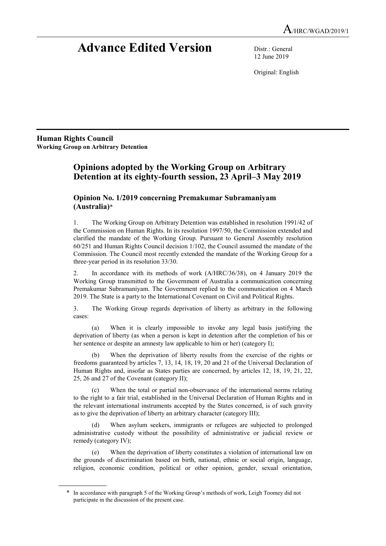# Advance Edited Version Distr.: General

12 June 2019

Original: English

Human Rights Council Working Group on Arbitrary Detention

 $\overline{a}$ 

## Opinions adopted by the Working Group on Arbitrary Detention at its eighty-fourth session, 23 April–3 May 2019

## Opinion No. 1/2019 concerning Premakumar Subramaniyam (Australia)\*

1. The Working Group on Arbitrary Detention was established in resolution 1991/42 of the Commission on Human Rights. In its resolution 1997/50, the Commission extended and clarified the mandate of the Working Group. Pursuant to General Assembly resolution 60/251 and Human Rights Council decision 1/102, the Council assumed the mandate of the Commission. The Council most recently extended the mandate of the Working Group for a three-year period in its resolution 33/30.

2. In accordance with its methods of work (A/HRC/36/38), on 4 January 2019 the Working Group transmitted to the Government of Australia a communication concerning Premakumar Subramaniyam. The Government replied to the communication on 4 March 2019. The State is a party to the International Covenant on Civil and Political Rights.

3. The Working Group regards deprivation of liberty as arbitrary in the following cases:

(a) When it is clearly impossible to invoke any legal basis justifying the deprivation of liberty (as when a person is kept in detention after the completion of his or her sentence or despite an amnesty law applicable to him or her) (category I);

(b) When the deprivation of liberty results from the exercise of the rights or freedoms guaranteed by articles 7, 13, 14, 18, 19, 20 and 21 of the Universal Declaration of Human Rights and, insofar as States parties are concerned, by articles 12, 18, 19, 21, 22, 25, 26 and 27 of the Covenant (category II);

(c) When the total or partial non-observance of the international norms relating to the right to a fair trial, established in the Universal Declaration of Human Rights and in the relevant international instruments accepted by the States concerned, is of such gravity as to give the deprivation of liberty an arbitrary character (category III);

When asylum seekers, immigrants or refugees are subjected to prolonged administrative custody without the possibility of administrative or judicial review or remedy (category IV);

(e) When the deprivation of liberty constitutes a violation of international law on the grounds of discrimination based on birth, national, ethnic or social origin, language, religion, economic condition, political or other opinion, gender, sexual orientation,

 <sup>\*</sup> In accordance with paragraph 5 of the Working Group's methods of work, Leigh Toomey did not participate in the discussion of the present case.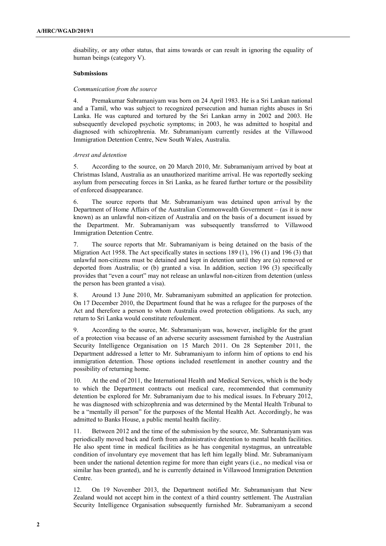disability, or any other status, that aims towards or can result in ignoring the equality of human beings (category V).

#### Submissions

#### Communication from the source

4. Premakumar Subramaniyam was born on 24 April 1983. He is a Sri Lankan national and a Tamil, who was subject to recognized persecution and human rights abuses in Sri Lanka. He was captured and tortured by the Sri Lankan army in 2002 and 2003. He subsequently developed psychotic symptoms; in 2003, he was admitted to hospital and diagnosed with schizophrenia. Mr. Subramaniyam currently resides at the Villawood Immigration Detention Centre, New South Wales, Australia.

## Arrest and detention

5. According to the source, on 20 March 2010, Mr. Subramaniyam arrived by boat at Christmas Island, Australia as an unauthorized maritime arrival. He was reportedly seeking asylum from persecuting forces in Sri Lanka, as he feared further torture or the possibility of enforced disappearance.

6. The source reports that Mr. Subramaniyam was detained upon arrival by the Department of Home Affairs of the Australian Commonwealth Government – (as it is now known) as an unlawful non-citizen of Australia and on the basis of a document issued by the Department. Mr. Subramaniyam was subsequently transferred to Villawood Immigration Detention Centre.

7. The source reports that Mr. Subramaniyam is being detained on the basis of the Migration Act 1958. The Act specifically states in sections 189 (1), 196 (1) and 196 (3) that unlawful non-citizens must be detained and kept in detention until they are (a) removed or deported from Australia; or (b) granted a visa. In addition, section 196 (3) specifically provides that "even a court" may not release an unlawful non-citizen from detention (unless the person has been granted a visa).

8. Around 13 June 2010, Mr. Subramaniyam submitted an application for protection. On 17 December 2010, the Department found that he was a refugee for the purposes of the Act and therefore a person to whom Australia owed protection obligations. As such, any return to Sri Lanka would constitute refoulement.

9. According to the source, Mr. Subramaniyam was, however, ineligible for the grant of a protection visa because of an adverse security assessment furnished by the Australian Security Intelligence Organisation on 15 March 2011. On 28 September 2011, the Department addressed a letter to Mr. Subramaniyam to inform him of options to end his immigration detention. Those options included resettlement in another country and the possibility of returning home.

10. At the end of 2011, the International Health and Medical Services, which is the body to which the Department contracts out medical care, recommended that community detention be explored for Mr. Subramaniyam due to his medical issues. In February 2012, he was diagnosed with schizophrenia and was determined by the Mental Health Tribunal to be a "mentally ill person" for the purposes of the Mental Health Act. Accordingly, he was admitted to Banks House, a public mental health facility.

11. Between 2012 and the time of the submission by the source, Mr. Subramaniyam was periodically moved back and forth from administrative detention to mental health facilities. He also spent time in medical facilities as he has congenital nystagmus, an untreatable condition of involuntary eye movement that has left him legally blind. Mr. Subramaniyam been under the national detention regime for more than eight years (i.e., no medical visa or similar has been granted), and he is currently detained in Villawood Immigration Detention Centre.

12. On 19 November 2013, the Department notified Mr. Subramaniyam that New Zealand would not accept him in the context of a third country settlement. The Australian Security Intelligence Organisation subsequently furnished Mr. Subramaniyam a second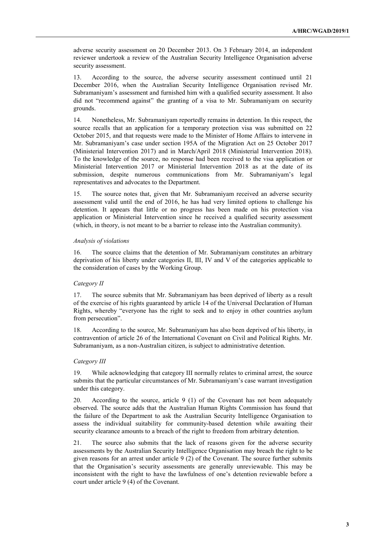adverse security assessment on 20 December 2013. On 3 February 2014, an independent reviewer undertook a review of the Australian Security Intelligence Organisation adverse security assessment.

13. According to the source, the adverse security assessment continued until 21 December 2016, when the Australian Security Intelligence Organisation revised Mr. Subramaniyam's assessment and furnished him with a qualified security assessment. It also did not "recommend against" the granting of a visa to Mr. Subramaniyam on security grounds.

14. Nonetheless, Mr. Subramaniyam reportedly remains in detention. In this respect, the source recalls that an application for a temporary protection visa was submitted on 22 October 2015, and that requests were made to the Minister of Home Affairs to intervene in Mr. Subramaniyam's case under section 195A of the Migration Act on 25 October 2017 (Ministerial Intervention 2017) and in March/April 2018 (Ministerial Intervention 2018). To the knowledge of the source, no response had been received to the visa application or Ministerial Intervention 2017 or Ministerial Intervention 2018 as at the date of its submission, despite numerous communications from Mr. Subramaniyam's legal representatives and advocates to the Department.

15. The source notes that, given that Mr. Subramaniyam received an adverse security assessment valid until the end of 2016, he has had very limited options to challenge his detention. It appears that little or no progress has been made on his protection visa application or Ministerial Intervention since he received a qualified security assessment (which, in theory, is not meant to be a barrier to release into the Australian community).

## Analysis of violations

16. The source claims that the detention of Mr. Subramaniyam constitutes an arbitrary deprivation of his liberty under categories II, III, IV and V of the categories applicable to the consideration of cases by the Working Group.

## Category II

17. The source submits that Mr. Subramaniyam has been deprived of liberty as a result of the exercise of his rights guaranteed by article 14 of the Universal Declaration of Human Rights, whereby "everyone has the right to seek and to enjoy in other countries asylum from persecution".

18. According to the source, Mr. Subramaniyam has also been deprived of his liberty, in contravention of article 26 of the International Covenant on Civil and Political Rights. Mr. Subramaniyam, as a non-Australian citizen, is subject to administrative detention.

## Category III

19. While acknowledging that category III normally relates to criminal arrest, the source submits that the particular circumstances of Mr. Subramaniyam's case warrant investigation under this category.

20. According to the source, article 9 (1) of the Covenant has not been adequately observed. The source adds that the Australian Human Rights Commission has found that the failure of the Department to ask the Australian Security Intelligence Organisation to assess the individual suitability for community-based detention while awaiting their security clearance amounts to a breach of the right to freedom from arbitrary detention.

21. The source also submits that the lack of reasons given for the adverse security assessments by the Australian Security Intelligence Organisation may breach the right to be given reasons for an arrest under article 9 (2) of the Covenant. The source further submits that the Organisation's security assessments are generally unreviewable. This may be inconsistent with the right to have the lawfulness of one's detention reviewable before a court under article 9 (4) of the Covenant.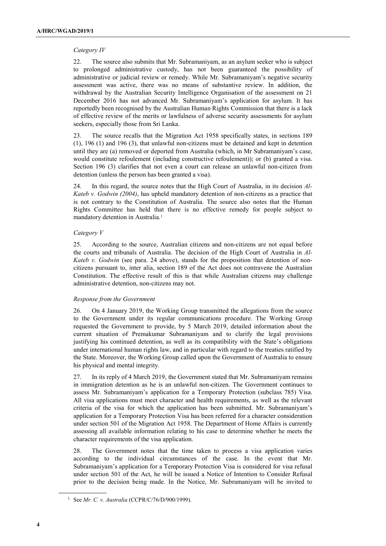## Category IV

22. The source also submits that Mr. Subramaniyam, as an asylum seeker who is subject to prolonged administrative custody, has not been guaranteed the possibility of administrative or judicial review or remedy. While Mr. Subramaniyam's negative security assessment was active, there was no means of substantive review. In addition, the withdrawal by the Australian Security Intelligence Organisation of the assessment on 21 December 2016 has not advanced Mr. Subramaniyam's application for asylum. It has reportedly been recognised by the Australian Human Rights Commission that there is a lack of effective review of the merits or lawfulness of adverse security assessments for asylum seekers, especially those from Sri Lanka.

23. The source recalls that the Migration Act 1958 specifically states, in sections 189 (1), 196 (1) and 196 (3), that unlawful non-citizens must be detained and kept in detention until they are (a) removed or deported from Australia (which, in Mr Subramaniyam's case, would constitute refoulement (including constructive refoulement)); or (b) granted a visa. Section 196 (3) clarifies that not even a court can release an unlawful non-citizen from detention (unless the person has been granted a visa).

24. In this regard, the source notes that the High Court of Australia, in its decision  $Al$ -Kateb v. Godwin (2004), has upheld mandatory detention of non-citizens as a practice that is not contrary to the Constitution of Australia. The source also notes that the Human Rights Committee has held that there is no effective remedy for people subject to mandatory detention in Australia.<sup>1</sup>

## Category V

25. According to the source, Australian citizens and non-citizens are not equal before the courts and tribunals of Australia. The decision of the High Court of Australia in Al-Kateb v. Godwin (see para. 24 above), stands for the proposition that detention of noncitizens pursuant to, inter alia, section 189 of the Act does not contravene the Australian Constitution. The effective result of this is that while Australian citizens may challenge administrative detention, non-citizens may not.

## Response from the Government

26. On 4 January 2019, the Working Group transmitted the allegations from the source to the Government under its regular communications procedure. The Working Group requested the Government to provide, by 5 March 2019, detailed information about the current situation of Premakumar Subramaniyam and to clarify the legal provisions justifying his continued detention, as well as its compatibility with the State's obligations under international human rights law, and in particular with regard to the treaties ratified by the State. Moreover, the Working Group called upon the Government of Australia to ensure his physical and mental integrity.

27. In its reply of 4 March 2019, the Government stated that Mr. Subramaniyam remains in immigration detention as he is an unlawful non-citizen. The Government continues to assess Mr. Subramaniyam's application for a Temporary Protection (subclass 785) Visa. All visa applications must meet character and health requirements, as well as the relevant criteria of the visa for which the application has been submitted. Mr. Subramaniyam's application for a Temporary Protection Visa has been referred for a character consideration under section 501 of the Migration Act 1958. The Department of Home Affairs is currently assessing all available information relating to his case to determine whether he meets the character requirements of the visa application.

28. The Government notes that the time taken to process a visa application varies according to the individual circumstances of the case. In the event that Mr. Subramaniyam's application for a Temporary Protection Visa is considered for visa refusal under section 501 of the Act, he will be issued a Notice of Intention to Consider Refusal prior to the decision being made. In the Notice, Mr. Subramaniyam will be invited to

<sup>&</sup>lt;sup>1</sup> See *Mr. C. v. Australia* (CCPR/C/76/D/900/1999).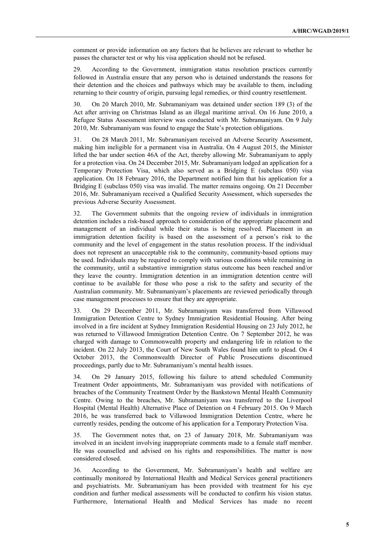comment or provide information on any factors that he believes are relevant to whether he passes the character test or why his visa application should not be refused.

29. According to the Government, immigration status resolution practices currently followed in Australia ensure that any person who is detained understands the reasons for their detention and the choices and pathways which may be available to them, including returning to their country of origin, pursuing legal remedies, or third country resettlement.

30. On 20 March 2010, Mr. Subramaniyam was detained under section 189 (3) of the Act after arriving on Christmas Island as an illegal maritime arrival. On 16 June 2010, a Refugee Status Assessment interview was conducted with Mr. Subramaniyam. On 9 July 2010, Mr. Subramaniyam was found to engage the State's protection obligations.

31. On 28 March 2011, Mr. Subramaniyam received an Adverse Security Assessment, making him ineligible for a permanent visa in Australia. On 4 August 2015, the Minister lifted the bar under section 46A of the Act, thereby allowing Mr. Subramaniyam to apply for a protection visa. On 24 December 2015, Mr. Subramaniyam lodged an application for a Temporary Protection Visa, which also served as a Bridging E (subclass 050) visa application. On 18 February 2016, the Department notified him that his application for a Bridging E (subclass 050) visa was invalid. The matter remains ongoing. On 21 December 2016, Mr. Subramaniyam received a Qualified Security Assessment, which supersedes the previous Adverse Security Assessment.

32. The Government submits that the ongoing review of individuals in immigration detention includes a risk-based approach to consideration of the appropriate placement and management of an individual while their status is being resolved. Placement in an immigration detention facility is based on the assessment of a person's risk to the community and the level of engagement in the status resolution process. If the individual does not represent an unacceptable risk to the community, community-based options may be used. Individuals may be required to comply with various conditions while remaining in the community, until a substantive immigration status outcome has been reached and/or they leave the country. Immigration detention in an immigration detention centre will continue to be available for those who pose a risk to the safety and security of the Australian community. Mr. Subramaniyam's placements are reviewed periodically through case management processes to ensure that they are appropriate.

33. On 29 December 2011, Mr. Subramaniyam was transferred from Villawood Immigration Detention Centre to Sydney Immigration Residential Housing. After being involved in a fire incident at Sydney Immigration Residential Housing on 23 July 2012, he was returned to Villawood Immigration Detention Centre. On 7 September 2012, he was charged with damage to Commonwealth property and endangering life in relation to the incident. On 22 July 2013, the Court of New South Wales found him unfit to plead. On 4 October 2013, the Commonwealth Director of Public Prosecutions discontinued proceedings, partly due to Mr. Subramaniyam's mental health issues.

34. On 29 January 2015, following his failure to attend scheduled Community Treatment Order appointments, Mr. Subramaniyam was provided with notifications of breaches of the Community Treatment Order by the Bankstown Mental Health Community Centre. Owing to the breaches, Mr. Subramaniyam was transferred to the Liverpool Hospital (Mental Health) Alternative Place of Detention on 4 February 2015. On 9 March 2016, he was transferred back to Villawood Immigration Detention Centre, where he currently resides, pending the outcome of his application for a Temporary Protection Visa.

35. The Government notes that, on 23 of January 2018, Mr. Subramaniyam was involved in an incident involving inappropriate comments made to a female staff member. He was counselled and advised on his rights and responsibilities. The matter is now considered closed.

36. According to the Government, Mr. Subramaniyam's health and welfare are continually monitored by International Health and Medical Services general practitioners and psychiatrists. Mr. Subramaniyam has been provided with treatment for his eye condition and further medical assessments will be conducted to confirm his vision status. Furthermore, International Health and Medical Services has made no recent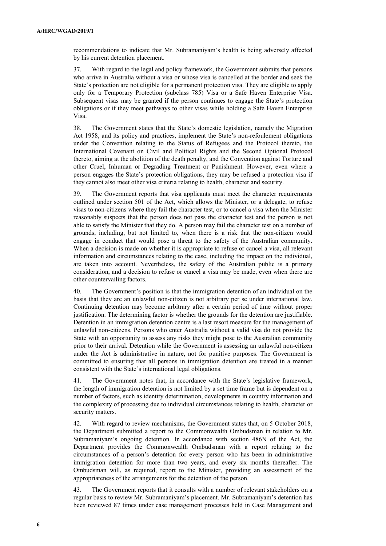recommendations to indicate that Mr. Subramaniyam's health is being adversely affected by his current detention placement.

37. With regard to the legal and policy framework, the Government submits that persons who arrive in Australia without a visa or whose visa is cancelled at the border and seek the State's protection are not eligible for a permanent protection visa. They are eligible to apply only for a Temporary Protection (subclass 785) Visa or a Safe Haven Enterprise Visa. Subsequent visas may be granted if the person continues to engage the State's protection obligations or if they meet pathways to other visas while holding a Safe Haven Enterprise Visa.

38. The Government states that the State's domestic legislation, namely the Migration Act 1958, and its policy and practices, implement the State's non-refoulement obligations under the Convention relating to the Status of Refugees and the Protocol thereto, the International Covenant on Civil and Political Rights and the Second Optional Protocol thereto, aiming at the abolition of the death penalty, and the Convention against Torture and other Cruel, Inhuman or Degrading Treatment or Punishment. However, even where a person engages the State's protection obligations, they may be refused a protection visa if they cannot also meet other visa criteria relating to health, character and security.

39. The Government reports that visa applicants must meet the character requirements outlined under section 501 of the Act, which allows the Minister, or a delegate, to refuse visas to non-citizens where they fail the character test, or to cancel a visa when the Minister reasonably suspects that the person does not pass the character test and the person is not able to satisfy the Minister that they do. A person may fail the character test on a number of grounds, including, but not limited to, when there is a risk that the non-citizen would engage in conduct that would pose a threat to the safety of the Australian community. When a decision is made on whether it is appropriate to refuse or cancel a visa, all relevant information and circumstances relating to the case, including the impact on the individual, are taken into account. Nevertheless, the safety of the Australian public is a primary consideration, and a decision to refuse or cancel a visa may be made, even when there are other countervailing factors.

40. The Government's position is that the immigration detention of an individual on the basis that they are an unlawful non-citizen is not arbitrary per se under international law. Continuing detention may become arbitrary after a certain period of time without proper justification. The determining factor is whether the grounds for the detention are justifiable. Detention in an immigration detention centre is a last resort measure for the management of unlawful non-citizens. Persons who enter Australia without a valid visa do not provide the State with an opportunity to assess any risks they might pose to the Australian community prior to their arrival. Detention while the Government is assessing an unlawful non-citizen under the Act is administrative in nature, not for punitive purposes. The Government is committed to ensuring that all persons in immigration detention are treated in a manner consistent with the State's international legal obligations.

41. The Government notes that, in accordance with the State's legislative framework, the length of immigration detention is not limited by a set time frame but is dependent on a number of factors, such as identity determination, developments in country information and the complexity of processing due to individual circumstances relating to health, character or security matters.

42. With regard to review mechanisms, the Government states that, on 5 October 2018, the Department submitted a report to the Commonwealth Ombudsman in relation to Mr. Subramaniyam's ongoing detention. In accordance with section 486N of the Act, the Department provides the Commonwealth Ombudsman with a report relating to the circumstances of a person's detention for every person who has been in administrative immigration detention for more than two years, and every six months thereafter. The Ombudsman will, as required, report to the Minister, providing an assessment of the appropriateness of the arrangements for the detention of the person.

43. The Government reports that it consults with a number of relevant stakeholders on a regular basis to review Mr. Subramaniyam's placement. Mr. Subramaniyam's detention has been reviewed 87 times under case management processes held in Case Management and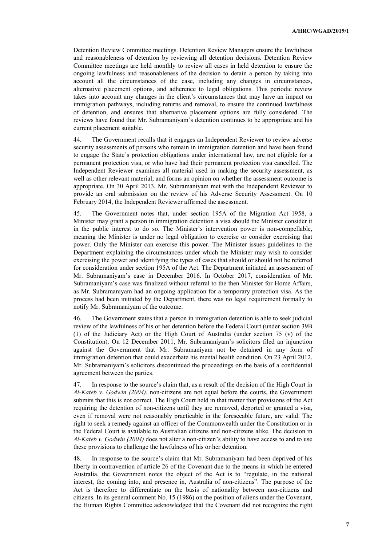Detention Review Committee meetings. Detention Review Managers ensure the lawfulness and reasonableness of detention by reviewing all detention decisions. Detention Review Committee meetings are held monthly to review all cases in held detention to ensure the ongoing lawfulness and reasonableness of the decision to detain a person by taking into account all the circumstances of the case, including any changes in circumstances, alternative placement options, and adherence to legal obligations. This periodic review takes into account any changes in the client's circumstances that may have an impact on immigration pathways, including returns and removal, to ensure the continued lawfulness of detention, and ensures that alternative placement options are fully considered. The reviews have found that Mr. Subramaniyam's detention continues to be appropriate and his current placement suitable.

44. The Government recalls that it engages an Independent Reviewer to review adverse security assessments of persons who remain in immigration detention and have been found to engage the State's protection obligations under international law, are not eligible for a permanent protection visa, or who have had their permanent protection visa cancelled. The Independent Reviewer examines all material used in making the security assessment, as well as other relevant material, and forms an opinion on whether the assessment outcome is appropriate. On 30 April 2013, Mr. Subramaniyam met with the Independent Reviewer to provide an oral submission on the review of his Adverse Security Assessment. On 10 February 2014, the Independent Reviewer affirmed the assessment.

45. The Government notes that, under section 195A of the Migration Act 1958, a Minister may grant a person in immigration detention a visa should the Minister consider it in the public interest to do so. The Minister's intervention power is non-compellable, meaning the Minister is under no legal obligation to exercise or consider exercising that power. Only the Minister can exercise this power. The Minister issues guidelines to the Department explaining the circumstances under which the Minister may wish to consider exercising the power and identifying the types of cases that should or should not be referred for consideration under section 195A of the Act. The Department initiated an assessment of Mr. Subramaniyam's case in December 2016. In October 2017, consideration of Mr. Subramaniyam's case was finalized without referral to the then Minister for Home Affairs, as Mr. Subramaniyam had an ongoing application for a temporary protection visa. As the process had been initiated by the Department, there was no legal requirement formally to notify Mr. Subramaniyam of the outcome.

46. The Government states that a person in immigration detention is able to seek judicial review of the lawfulness of his or her detention before the Federal Court (under section 39B (1) of the Judiciary Act) or the High Court of Australia (under section 75 (v) of the Constitution). On 12 December 2011, Mr. Subramaniyam's solicitors filed an injunction against the Government that Mr. Subramaniyam not be detained in any form of immigration detention that could exacerbate his mental health condition. On 23 April 2012, Mr. Subramaniyam's solicitors discontinued the proceedings on the basis of a confidential agreement between the parties.

47. In response to the source's claim that, as a result of the decision of the High Court in  $Al-Kateb$  v. Godwin (2004), non-citizens are not equal before the courts, the Government submits that this is not correct. The High Court held in that matter that provisions of the Act requiring the detention of non-citizens until they are removed, deported or granted a visa, even if removal were not reasonably practicable in the foreseeable future, are valid. The right to seek a remedy against an officer of the Commonwealth under the Constitution or in the Federal Court is available to Australian citizens and non-citizens alike. The decision in Al-Kateb v. Godwin (2004) does not alter a non-citizen's ability to have access to and to use these provisions to challenge the lawfulness of his or her detention.

48. In response to the source's claim that Mr. Subramaniyam had been deprived of his liberty in contravention of article 26 of the Covenant due to the means in which he entered Australia, the Government notes the object of the Act is to "regulate, in the national interest, the coming into, and presence in, Australia of non-citizens". The purpose of the Act is therefore to differentiate on the basis of nationality between non-citizens and citizens. In its general comment No. 15 (1986) on the position of aliens under the Covenant, the Human Rights Committee acknowledged that the Covenant did not recognize the right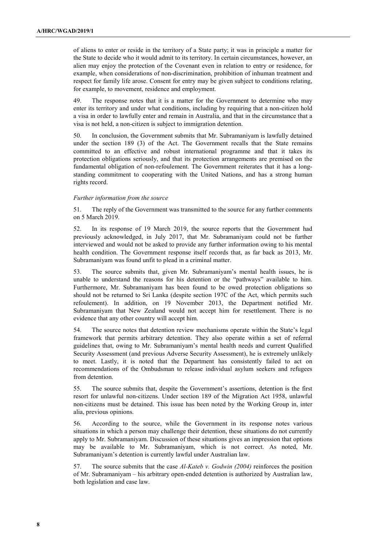of aliens to enter or reside in the territory of a State party; it was in principle a matter for the State to decide who it would admit to its territory. In certain circumstances, however, an alien may enjoy the protection of the Covenant even in relation to entry or residence, for example, when considerations of non-discrimination, prohibition of inhuman treatment and respect for family life arose. Consent for entry may be given subject to conditions relating, for example, to movement, residence and employment.

49. The response notes that it is a matter for the Government to determine who may enter its territory and under what conditions, including by requiring that a non-citizen hold a visa in order to lawfully enter and remain in Australia, and that in the circumstance that a visa is not held, a non-citizen is subject to immigration detention.

50. In conclusion, the Government submits that Mr. Subramaniyam is lawfully detained under the section 189 (3) of the Act. The Government recalls that the State remains committed to an effective and robust international programme and that it takes its protection obligations seriously, and that its protection arrangements are premised on the fundamental obligation of non-refoulement. The Government reiterates that it has a longstanding commitment to cooperating with the United Nations, and has a strong human rights record.

#### Further information from the source

51. The reply of the Government was transmitted to the source for any further comments on 5 March 2019.

52. In its response of 19 March 2019, the source reports that the Government had previously acknowledged, in July 2017, that Mr. Subramaniyam could not be further interviewed and would not be asked to provide any further information owing to his mental health condition. The Government response itself records that, as far back as 2013, Mr. Subramaniyam was found unfit to plead in a criminal matter.

53. The source submits that, given Mr. Subramaniyam's mental health issues, he is unable to understand the reasons for his detention or the "pathways" available to him. Furthermore, Mr. Subramaniyam has been found to be owed protection obligations so should not be returned to Sri Lanka (despite section 197C of the Act, which permits such refoulement). In addition, on 19 November 2013, the Department notified Mr. Subramaniyam that New Zealand would not accept him for resettlement. There is no evidence that any other country will accept him.

54. The source notes that detention review mechanisms operate within the State's legal framework that permits arbitrary detention. They also operate within a set of referral guidelines that, owing to Mr. Subramaniyam's mental health needs and current Qualified Security Assessment (and previous Adverse Security Assessment), he is extremely unlikely to meet. Lastly, it is noted that the Department has consistently failed to act on recommendations of the Ombudsman to release individual asylum seekers and refugees from detention.

55. The source submits that, despite the Government's assertions, detention is the first resort for unlawful non-citizens. Under section 189 of the Migration Act 1958, unlawful non-citizens must be detained. This issue has been noted by the Working Group in, inter alia, previous opinions.

56. According to the source, while the Government in its response notes various situations in which a person may challenge their detention, these situations do not currently apply to Mr. Subramaniyam. Discussion of these situations gives an impression that options may be available to Mr. Subramaniyam, which is not correct. As noted, Mr. Subramaniyam's detention is currently lawful under Australian law.

57. The source submits that the case Al-Kateb v. Godwin (2004) reinforces the position of Mr. Subramaniyam – his arbitrary open-ended detention is authorized by Australian law, both legislation and case law.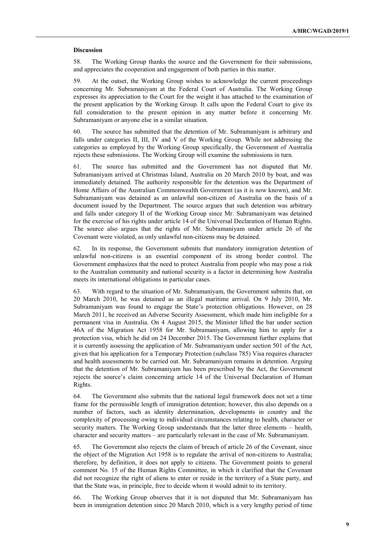#### Discussion

58. The Working Group thanks the source and the Government for their submissions, and appreciates the cooperation and engagement of both parties in this matter.

59. At the outset, the Working Group wishes to acknowledge the current proceedings concerning Mr. Subramaniyam at the Federal Court of Australia. The Working Group expresses its appreciation to the Court for the weight it has attached to the examination of the present application by the Working Group. It calls upon the Federal Court to give its full consideration to the present opinion in any matter before it concerning Mr. Subramaniyam or anyone else in a similar situation.

60. The source has submitted that the detention of Mr. Subramaniyam is arbitrary and falls under categories II, III, IV and V of the Working Group. While not addressing the categories as employed by the Working Group specifically, the Government of Australia rejects these submissions. The Working Group will examine the submissions in turn.

61. The source has submitted and the Government has not disputed that Mr. Subramaniyam arrived at Christmas Island, Australia on 20 March 2010 by boat, and was immediately detained. The authority responsible for the detention was the Department of Home Affairs of the Australian Commonwealth Government (as it is now known), and Mr. Subramaniyam was detained as an unlawful non-citizen of Australia on the basis of a document issued by the Department. The source argues that such detention was arbitrary and falls under category II of the Working Group since Mr. Subramaniyam was detained for the exercise of his rights under article 14 of the Universal Declaration of Human Rights. The source also argues that the rights of Mr. Subramaniyam under article 26 of the Covenant were violated, as only unlawful non-citizens may be detained.

62. In its response, the Government submits that mandatory immigration detention of unlawful non-citizens is an essential component of its strong border control. The Government emphasizes that the need to protect Australia from people who may pose a risk to the Australian community and national security is a factor in determining how Australia meets its international obligations in particular cases.

63. With regard to the situation of Mr. Subramaniyam, the Government submits that, on 20 March 2010, he was detained as an illegal maritime arrival. On 9 July 2010, Mr. Subramaniyam was found to engage the State's protection obligations. However, on 28 March 2011, he received an Adverse Security Assessment, which made him ineligible for a permanent visa in Australia. On 4 August 2015, the Minister lifted the bar under section 46A of the Migration Act 1958 for Mr. Subramaniyam, allowing him to apply for a protection visa, which he did on 24 December 2015. The Government further explains that it is currently assessing the application of Mr. Subramaniyam under section 501 of the Act, given that his application for a Temporary Protection (subclass 785) Visa requires character and health assessments to be carried out. Mr. Subramaniyam remains in detention. Arguing that the detention of Mr. Subramaniyam has been prescribed by the Act, the Government rejects the source's claim concerning article 14 of the Universal Declaration of Human Rights.

64. The Government also submits that the national legal framework does not set a time frame for the permissible length of immigration detention; however, this also depends on a number of factors, such as identity determination, developments in country and the complexity of processing owing to individual circumstances relating to health, character or security matters. The Working Group understands that the latter three elements – health, character and security matters – are particularly relevant in the case of Mr. Subramaniyam.

65. The Government also rejects the claim of breach of article 26 of the Covenant, since the object of the Migration Act 1958 is to regulate the arrival of non-citizens to Australia; therefore, by definition, it does not apply to citizens. The Government points to general comment No. 15 of the Human Rights Committee, in which it clarified that the Covenant did not recognize the right of aliens to enter or reside in the territory of a State party, and that the State was, in principle, free to decide whom it would admit to its territory.

66. The Working Group observes that it is not disputed that Mr. Subramaniyam has been in immigration detention since 20 March 2010, which is a very lengthy period of time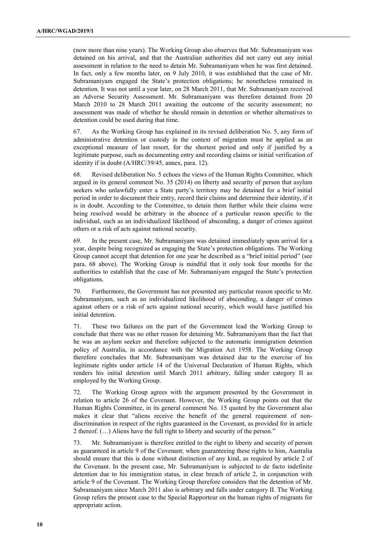(now more than nine years). The Working Group also observes that Mr. Subramaniyam was detained on his arrival, and that the Australian authorities did not carry out any initial assessment in relation to the need to detain Mr. Subramaniyam when he was first detained. In fact, only a few months later, on 9 July 2010, it was established that the case of Mr. Subramaniyam engaged the State's protection obligations; he nonetheless remained in detention. It was not until a year later, on 28 March 2011, that Mr. Subramaniyam received an Adverse Security Assessment. Mr. Subramaniyam was therefore detained from 20 March 2010 to 28 March 2011 awaiting the outcome of the security assessment; no assessment was made of whether he should remain in detention or whether alternatives to detention could be used during that time.

67. As the Working Group has explained in its revised deliberation No. 5, any form of administrative detention or custody in the context of migration must be applied as an exceptional measure of last resort, for the shortest period and only if justified by a legitimate purpose, such as documenting entry and recording claims or initial verification of identity if in doubt (A/HRC/39/45, annex, para. 12).

68. Revised deliberation No. 5 echoes the views of the Human Rights Committee, which argued in its general comment No. 35 (2014) on liberty and security of person that asylum seekers who unlawfully enter a State party's territory may be detained for a brief initial period in order to document their entry, record their claims and determine their identity, if it is in doubt. According to the Committee, to detain them further while their claims were being resolved would be arbitrary in the absence of a particular reason specific to the individual, such as an individualized likelihood of absconding, a danger of crimes against others or a risk of acts against national security.

69. In the present case, Mr. Subramaniyam was detained immediately upon arrival for a year, despite being recognized as engaging the State's protection obligations. The Working Group cannot accept that detention for one year be described as a "brief initial period" (see para. 68 above). The Working Group is mindful that it only took four months for the authorities to establish that the case of Mr. Subramaniyam engaged the State's protection obligations.

70. Furthermore, the Government has not presented any particular reason specific to Mr. Subramaniyam, such as an individualized likelihood of absconding, a danger of crimes against others or a risk of acts against national security, which would have justified his initial detention.

71. These two failures on the part of the Government lead the Working Group to conclude that there was no other reason for detaining Mr. Subramaniyam than the fact that he was an asylum seeker and therefore subjected to the automatic immigration detention policy of Australia, in accordance with the Migration Act 1958. The Working Group therefore concludes that Mr. Subramaniyam was detained due to the exercise of his legitimate rights under article 14 of the Universal Declaration of Human Rights, which renders his initial detention until March 2011 arbitrary, falling under category II as employed by the Working Group.

72. The Working Group agrees with the argument presented by the Government in relation to article 26 of the Covenant. However, the Working Group points out that the Human Rights Committee, in its general comment No. 15 quoted by the Government also makes it clear that "aliens receive the benefit of the general requirement of nondiscrimination in respect of the rights guaranteed in the Covenant, as provided for in article 2 thereof. (…) Aliens have the full right to liberty and security of the person."

73. Mr. Subramaniyam is therefore entitled to the right to liberty and security of person as guaranteed in article 9 of the Covenant; when guaranteeing these rights to him, Australia should ensure that this is done without distinction of any kind, as required by article 2 of the Covenant. In the present case, Mr. Subramaniyam is subjected to de facto indefinite detention due to his immigration status, in clear breach of article 2, in conjunction with article 9 of the Covenant. The Working Group therefore considers that the detention of Mr. Subramaniyam since March 2011 also is arbitrary and falls under category II. The Working Group refers the present case to the Special Rapporteur on the human rights of migrants for appropriate action.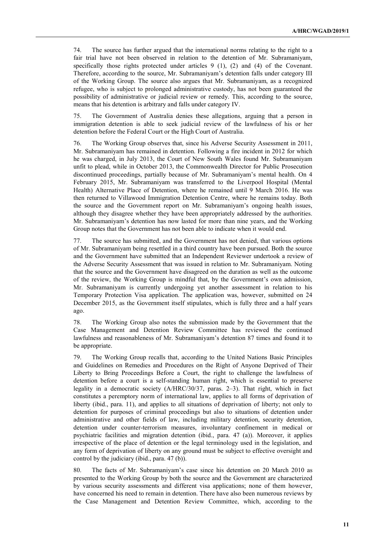74. The source has further argued that the international norms relating to the right to a fair trial have not been observed in relation to the detention of Mr. Subramaniyam, specifically those rights protected under articles 9 (1), (2) and (4) of the Covenant. Therefore, according to the source, Mr. Subramaniyam's detention falls under category III of the Working Group. The source also argues that Mr. Subramaniyam, as a recognized refugee, who is subject to prolonged administrative custody, has not been guaranteed the possibility of administrative or judicial review or remedy. This, according to the source, means that his detention is arbitrary and falls under category IV.

The Government of Australia denies these allegations, arguing that a person in immigration detention is able to seek judicial review of the lawfulness of his or her detention before the Federal Court or the High Court of Australia.

76. The Working Group observes that, since his Adverse Security Assessment in 2011, Mr. Subramaniyam has remained in detention. Following a fire incident in 2012 for which he was charged, in July 2013, the Court of New South Wales found Mr. Subramaniyam unfit to plead, while in October 2013, the Commonwealth Director for Public Prosecution discontinued proceedings, partially because of Mr. Subramaniyam's mental health. On 4 February 2015, Mr. Subramaniyam was transferred to the Liverpool Hospital (Mental Health) Alternative Place of Detention, where he remained until 9 March 2016. He was then returned to Villawood Immigration Detention Centre, where he remains today. Both the source and the Government report on Mr. Subramaniyam's ongoing health issues, although they disagree whether they have been appropriately addressed by the authorities. Mr. Subramaniyam's detention has now lasted for more than nine years, and the Working Group notes that the Government has not been able to indicate when it would end.

77. The source has submitted, and the Government has not denied, that various options of Mr. Subramaniyam being resettled in a third country have been pursued. Both the source and the Government have submitted that an Independent Reviewer undertook a review of the Adverse Security Assessment that was issued in relation to Mr. Subramaniyam. Noting that the source and the Government have disagreed on the duration as well as the outcome of the review, the Working Group is mindful that, by the Government's own admission, Mr. Subramaniyam is currently undergoing yet another assessment in relation to his Temporary Protection Visa application. The application was, however, submitted on 24 December 2015, as the Government itself stipulates, which is fully three and a half years ago.

78. The Working Group also notes the submission made by the Government that the Case Management and Detention Review Committee has reviewed the continued lawfulness and reasonableness of Mr. Subramaniyam's detention 87 times and found it to be appropriate.

79. The Working Group recalls that, according to the United Nations Basic Principles and Guidelines on Remedies and Procedures on the Right of Anyone Deprived of Their Liberty to Bring Proceedings Before a Court, the right to challenge the lawfulness of detention before a court is a self-standing human right, which is essential to preserve legality in a democratic society (A/HRC/30/37, paras. 2–3). That right, which in fact constitutes a peremptory norm of international law, applies to all forms of deprivation of liberty (ibid., para. 11), and applies to all situations of deprivation of liberty; not only to detention for purposes of criminal proceedings but also to situations of detention under administrative and other fields of law, including military detention, security detention, detention under counter-terrorism measures, involuntary confinement in medical or psychiatric facilities and migration detention (ibid., para. 47 (a)). Moreover, it applies irrespective of the place of detention or the legal terminology used in the legislation, and any form of deprivation of liberty on any ground must be subject to effective oversight and control by the judiciary (ibid., para. 47 (b)).

80. The facts of Mr. Subramaniyam's case since his detention on 20 March 2010 as presented to the Working Group by both the source and the Government are characterized by various security assessments and different visa applications; none of them however, have concerned his need to remain in detention. There have also been numerous reviews by the Case Management and Detention Review Committee, which, according to the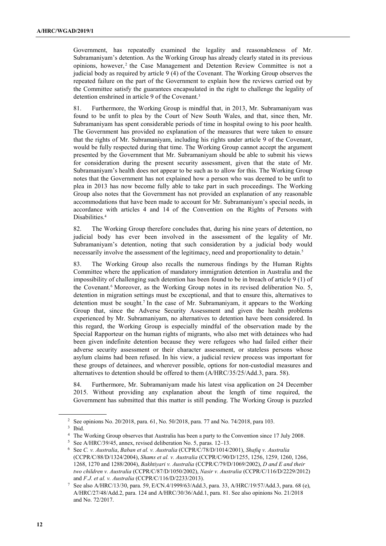Government, has repeatedly examined the legality and reasonableness of Mr. Subramaniyam's detention. As the Working Group has already clearly stated in its previous opinions, however, <sup>2</sup> the Case Management and Detention Review Committee is not a judicial body as required by article 9 (4) of the Covenant. The Working Group observes the repeated failure on the part of the Government to explain how the reviews carried out by the Committee satisfy the guarantees encapsulated in the right to challenge the legality of detention enshrined in article 9 of the Covenant.<sup>3</sup>

81. Furthermore, the Working Group is mindful that, in 2013, Mr. Subramaniyam was found to be unfit to plea by the Court of New South Wales, and that, since then, Mr. Subramaniyam has spent considerable periods of time in hospital owing to his poor health. The Government has provided no explanation of the measures that were taken to ensure that the rights of Mr. Subramaniyam, including his rights under article 9 of the Covenant, would be fully respected during that time. The Working Group cannot accept the argument presented by the Government that Mr. Subramaniyam should be able to submit his views for consideration during the present security assessment, given that the state of Mr. Subramaniyam's health does not appear to be such as to allow for this. The Working Group notes that the Government has not explained how a person who was deemed to be unfit to plea in 2013 has now become fully able to take part in such proceedings. The Working Group also notes that the Government has not provided an explanation of any reasonable accommodations that have been made to account for Mr. Subramaniyam's special needs, in accordance with articles 4 and 14 of the Convention on the Rights of Persons with Disabilities.<sup>4</sup>

82. The Working Group therefore concludes that, during his nine years of detention, no judicial body has ever been involved in the assessment of the legality of Mr. Subramaniyam's detention, noting that such consideration by a judicial body would necessarily involve the assessment of the legitimacy, need and proportionality to detain.<sup>5</sup>

83. The Working Group also recalls the numerous findings by the Human Rights Committee where the application of mandatory immigration detention in Australia and the impossibility of challenging such detention has been found to be in breach of article 9 (1) of the Covenant.<sup>6</sup> Moreover, as the Working Group notes in its revised deliberation No. 5, detention in migration settings must be exceptional, and that to ensure this, alternatives to detention must be sought.<sup>7</sup> In the case of Mr. Subramaniyam, it appears to the Working Group that, since the Adverse Security Assessment and given the health problems experienced by Mr. Subramaniyam, no alternatives to detention have been considered. In this regard, the Working Group is especially mindful of the observation made by the Special Rapporteur on the human rights of migrants, who also met with detainees who had been given indefinite detention because they were refugees who had failed either their adverse security assessment or their character assessment, or stateless persons whose asylum claims had been refused. In his view, a judicial review process was important for these groups of detainees, and wherever possible, options for non-custodial measures and alternatives to detention should be offered to them (A/HRC/35/25/Add.3, para. 58).

84. Furthermore, Mr. Subramaniyam made his latest visa application on 24 December 2015. Without providing any explanation about the length of time required, the Government has submitted that this matter is still pending. The Working Group is puzzled

<sup>2</sup> See opinions No. 20/2018, para. 61, No. 50/2018, para. 77 and No. 74/2018, para 103.

<sup>3</sup> Ibid.

<sup>&</sup>lt;sup>4</sup> The Working Group observes that Australia has been a party to the Convention since 17 July 2008.

<sup>5</sup> See A/HRC/39/45, annex, revised deliberation No. 5, paras. 12–13.

<sup>6</sup> See C. v. Australia, Baban et al. v. Australia (CCPR/C/78/D/1014/2001), Shafiq v. Australia (CCPR/C/88/D/1324/2004), Shams et al. v. Australia (CCPR/C/90/D/1255, 1256, 1259, 1260, 1266, 1268, 1270 and 1288/2004), Bakhtiyari v. Australia (CCPR/C/79/D/1069/2002), D and E and their two children v. Australia (CCPR/C/87/D/1050/2002), Nasir v. Australia (CCPR/C/116/D/2229/2012) and F.J. et al. v. Australia (CCPR/C/116/D/2233/2013).

<sup>7</sup> See also A/HRC/13/30, para. 59, E/CN.4/1999/63/Add.3, para. 33, A/HRC/19/57/Add.3, para. 68 (e), A/HRC/27/48/Add.2, para. 124 and A/HRC/30/36/Add.1, para. 81. See also opinions No. 21/2018 and No. 72/2017.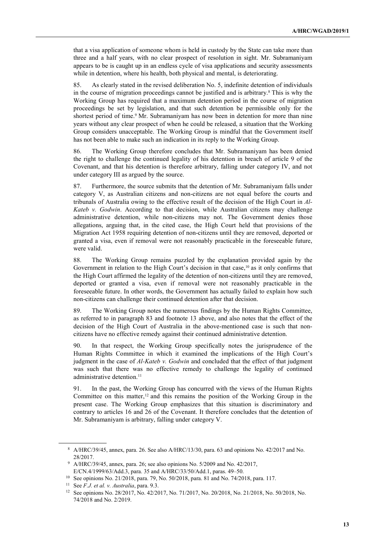that a visa application of someone whom is held in custody by the State can take more than three and a half years, with no clear prospect of resolution in sight. Mr. Subramaniyam appears to be is caught up in an endless cycle of visa applications and security assessments while in detention, where his health, both physical and mental, is deteriorating.

85. As clearly stated in the revised deliberation No. 5, indefinite detention of individuals in the course of migration proceedings cannot be justified and is arbitrary.<sup>8</sup> This is why the Working Group has required that a maximum detention period in the course of migration proceedings be set by legislation, and that such detention be permissible only for the shortest period of time.<sup>9</sup> Mr. Subramaniyam has now been in detention for more than nine years without any clear prospect of when he could be released, a situation that the Working Group considers unacceptable. The Working Group is mindful that the Government itself has not been able to make such an indication in its reply to the Working Group.

86. The Working Group therefore concludes that Mr. Subramaniyam has been denied the right to challenge the continued legality of his detention in breach of article 9 of the Covenant, and that his detention is therefore arbitrary, falling under category IV, and not under category III as argued by the source.

87. Furthermore, the source submits that the detention of Mr. Subramaniyam falls under category V, as Australian citizens and non-citizens are not equal before the courts and tribunals of Australia owing to the effective result of the decision of the High Court in Al-Kateb v. Godwin. According to that decision, while Australian citizens may challenge administrative detention, while non-citizens may not. The Government denies those allegations, arguing that, in the cited case, the High Court held that provisions of the Migration Act 1958 requiring detention of non-citizens until they are removed, deported or granted a visa, even if removal were not reasonably practicable in the foreseeable future, were valid.

88. The Working Group remains puzzled by the explanation provided again by the Government in relation to the High Court's decision in that case,<sup>10</sup> as it only confirms that the High Court affirmed the legality of the detention of non-citizens until they are removed, deported or granted a visa, even if removal were not reasonably practicable in the foreseeable future. In other words, the Government has actually failed to explain how such non-citizens can challenge their continued detention after that decision.

89. The Working Group notes the numerous findings by the Human Rights Committee, as referred to in paragraph 83 and footnote 13 above, and also notes that the effect of the decision of the High Court of Australia in the above-mentioned case is such that noncitizens have no effective remedy against their continued administrative detention.

90. In that respect, the Working Group specifically notes the jurisprudence of the Human Rights Committee in which it examined the implications of the High Court's judgment in the case of Al-Kateb v. Godwin and concluded that the effect of that judgment was such that there was no effective remedy to challenge the legality of continued administrative detention.<sup>11</sup>

91. In the past, the Working Group has concurred with the views of the Human Rights Committee on this matter, $12$  and this remains the position of the Working Group in the present case. The Working Group emphasizes that this situation is discriminatory and contrary to articles 16 and 26 of the Covenant. It therefore concludes that the detention of Mr. Subramaniyam is arbitrary, falling under category V.

<sup>8</sup> A/HRC/39/45, annex, para. 26. See also A/HRC/13/30, para. 63 and opinions No. 42/2017 and No. 28/2017.

<sup>&</sup>lt;sup>9</sup> A/HRC/39/45, annex, para. 26; see also opinions No. 5/2009 and No. 42/2017, E/CN.4/1999/63/Add.3, para. 35 and A/HRC/33/50/Add.1, paras. 49–50.

<sup>10</sup> See opinions No. 21/2018, para. 79, No. 50/2018, para. 81 and No. 74/2018, para. 117.

<sup>&</sup>lt;sup>11</sup> See *F.J. et al. v. Australia*, para.  $9.3$ .

<sup>12</sup> See opinions No. 28/2017, No. 42/2017, No. 71/2017, No. 20/2018, No. 21/2018, No. 50/2018, No. 74/2018 and No. 2/2019.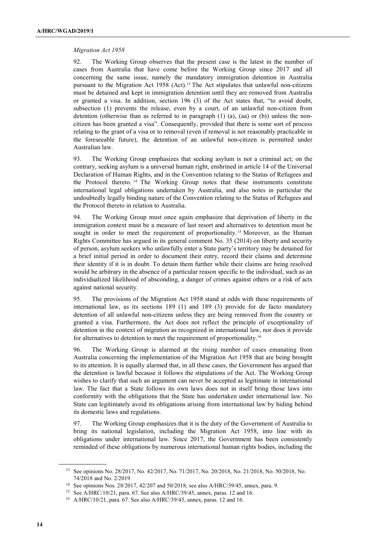## Migration Act 1958

92. The Working Group observes that the present case is the latest in the number of cases from Australia that have come before the Working Group since 2017 and all concerning the same issue, namely the mandatory immigration detention in Australia pursuant to the Migration Act 1958 (Act).13 The Act stipulates that unlawful non-citizens must be detained and kept in immigration detention until they are removed from Australia or granted a visa. In addition, section 196 (3) of the Act states that, "to avoid doubt, subsection (1) prevents the release, even by a court, of an unlawful non-citizen from detention (otherwise than as referred to in paragraph  $(1)$   $(a)$ ,  $(aa)$  or  $(b)$ ) unless the noncitizen has been granted a visa". Consequently, provided that there is some sort of process relating to the grant of a visa or to removal (even if removal is not reasonably practicable in the foreseeable future), the detention of an unlawful non-citizen is permitted under Australian law.

93. The Working Group emphasizes that seeking asylum is not a criminal act; on the contrary, seeking asylum is a universal human right, enshrined in article 14 of the Universal Declaration of Human Rights, and in the Convention relating to the Status of Refugees and the Protocol thereto. <sup>14</sup> The Working Group notes that these instruments constitute international legal obligations undertaken by Australia, and also notes in particular the undoubtedly legally binding nature of the Convention relating to the Status of Refugees and the Protocol thereto in relation to Australia.

94. The Working Group must once again emphasize that deprivation of liberty in the immigration context must be a measure of last resort and alternatives to detention must be sought in order to meet the requirement of proportionality.<sup>15</sup> Moreover, as the Human Rights Committee has argued in its general comment No. 35 (2014) on liberty and security of person, asylum seekers who unlawfully enter a State party's territory may be detained for a brief initial period in order to document their entry, record their claims and determine their identity if it is in doubt. To detain them further while their claims are being resolved would be arbitrary in the absence of a particular reason specific to the individual, such as an individualized likelihood of absconding, a danger of crimes against others or a risk of acts against national security.

95. The provisions of the Migration Act 1958 stand at odds with these requirements of international law, as its sections 189 (1) and 189 (3) provide for de facto mandatory detention of all unlawful non-citizens unless they are being removed from the country or granted a visa. Furthermore, the Act does not reflect the principle of exceptionality of detention in the context of migration as recognized in international law, nor does it provide for alternatives to detention to meet the requirement of proportionality.<sup>16</sup>

96. The Working Group is alarmed at the rising number of cases emanating from Australia concerning the implementation of the Migration Act 1958 that are being brought to its attention. It is equally alarmed that, in all these cases, the Government has argued that the detention is lawful because it follows the stipulations of the Act. The Working Group wishes to clarify that such an argument can never be accepted as legitimate in international law. The fact that a State follows its own laws does not in itself bring those laws into conformity with the obligations that the State has undertaken under international law. No State can legitimately avoid its obligations arising from international law by hiding behind its domestic laws and regulations.

97. The Working Group emphasizes that it is the duty of the Government of Australia to bring its national legislation, including the Migration Act 1958, into line with its obligations under international law. Since 2017, the Government has been consistently reminded of these obligations by numerous international human rights bodies, including the

<sup>13</sup> See opinions No. 28/2017, No. 42/2017, No. 71/2017, No. 20/2018, No. 21/2018, No. 50/2018, No. 74/2018 and No. 2/2019.

<sup>14</sup> See opinions Nos. 28/2017, 42/207 and 50/2018; see also A/HRC/39/45, annex, para. 9.

<sup>15</sup> See A/HRC/10/21, para. 67. See also A/HRC/39/45, annex, paras. 12 and 16.

<sup>16</sup> A/HRC/10/21, para. 67. See also A/HRC/39/45, annex, paras. 12 and 16.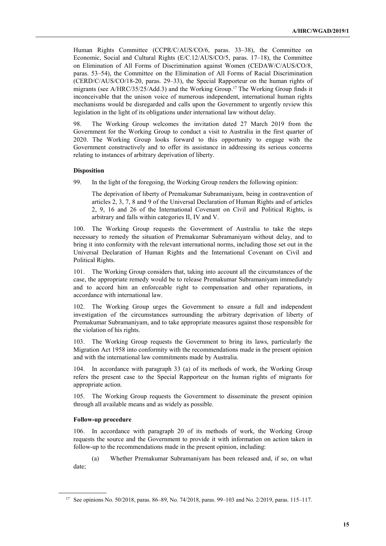Human Rights Committee (CCPR/C/AUS/CO/6, paras. 33–38), the Committee on Economic, Social and Cultural Rights (E/C.12/AUS/CO/5, paras. 17–18), the Committee on Elimination of All Forms of Discrimination against Women (CEDAW/C/AUS/CO/8, paras. 53–54), the Committee on the Elimination of All Forms of Racial Discrimination (CERD/C/AUS/CO/18-20, paras. 29–33), the Special Rapporteur on the human rights of migrants (see A/HRC/35/25/Add.3) and the Working Group.17 The Working Group finds it inconceivable that the unison voice of numerous independent, international human rights mechanisms would be disregarded and calls upon the Government to urgently review this legislation in the light of its obligations under international law without delay.

98. The Working Group welcomes the invitation dated 27 March 2019 from the Government for the Working Group to conduct a visit to Australia in the first quarter of 2020. The Working Group looks forward to this opportunity to engage with the Government constructively and to offer its assistance in addressing its serious concerns relating to instances of arbitrary deprivation of liberty.

## **Disposition**

99. In the light of the foregoing, the Working Group renders the following opinion:

The deprivation of liberty of Premakumar Subramaniyam, being in contravention of articles 2, 3, 7, 8 and 9 of the Universal Declaration of Human Rights and of articles 2, 9, 16 and 26 of the International Covenant on Civil and Political Rights, is arbitrary and falls within categories II, IV and V.

100. The Working Group requests the Government of Australia to take the steps necessary to remedy the situation of Premakumar Subramaniyam without delay, and to bring it into conformity with the relevant international norms, including those set out in the Universal Declaration of Human Rights and the International Covenant on Civil and Political Rights.

101. The Working Group considers that, taking into account all the circumstances of the case, the appropriate remedy would be to release Premakumar Subramaniyam immediately and to accord him an enforceable right to compensation and other reparations, in accordance with international law.

102. The Working Group urges the Government to ensure a full and independent investigation of the circumstances surrounding the arbitrary deprivation of liberty of Premakumar Subramaniyam, and to take appropriate measures against those responsible for the violation of his rights.

The Working Group requests the Government to bring its laws, particularly the Migration Act 1958 into conformity with the recommendations made in the present opinion and with the international law commitments made by Australia.

104. In accordance with paragraph 33 (a) of its methods of work, the Working Group refers the present case to the Special Rapporteur on the human rights of migrants for appropriate action.

105. The Working Group requests the Government to disseminate the present opinion through all available means and as widely as possible.

## Follow-up procedure

 $\overline{a}$ 

106. In accordance with paragraph 20 of its methods of work, the Working Group requests the source and the Government to provide it with information on action taken in follow-up to the recommendations made in the present opinion, including:

(a) Whether Premakumar Subramaniyam has been released and, if so, on what date;

<sup>17</sup> See opinions No. 50/2018, paras. 86–89, No. 74/2018, paras. 99–103 and No. 2/2019, paras. 115–117.